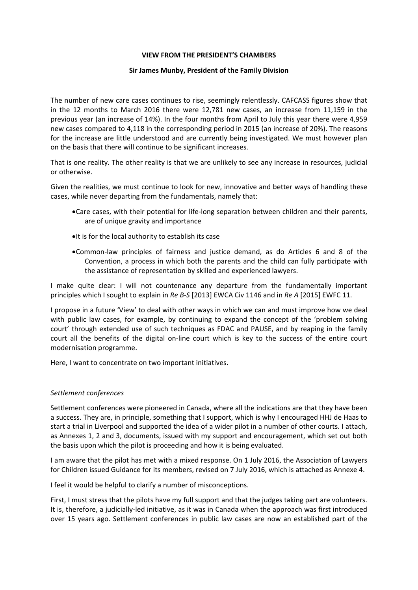## **VIEW FROM THE PRESIDENT'S CHAMBERS**

### **Sir James Munby, President of the Family Division**

 The number of new care cases continues to rise, seemingly relentlessly. CAFCASS figures show that in the 12 months to March 2016 there were 12,781 new cases, an increase from 11,159 in the previous year (an increase of 14%). In the four months from April to July this year there were 4,959 new cases compared to 4,118 in the corresponding period in 2015 (an increase of 20%). The reasons for the increase are little understood and are currently being investigated. We must however plan on the basis that there will continue to be significant increases.

 That is one reality. The other reality is that we are unlikely to see any increase in resources, judicial or otherwise.

 Given the realities, we must continue to look for new, innovative and better ways of handling these cases, while never departing from the fundamentals, namely that:

- Care cases, with their potential for life‐long separation between children and their parents, are of unique gravity and importance
- $\bullet$ It is for the local authority to establish its case
- Common‐law principles of fairness and justice demand, as do Articles 6 and 8 of the Convention, a process in which both the parents and the child can fully participate with the assistance of representation by skilled and experienced lawyers.

 I make quite clear: I will not countenance any departure from the fundamentally important  principles which I sought to explain in *Re B‐S* [2013] EWCA Civ 1146 and in *Re A* [2015] EWFC 11.

 I propose in a future 'View' to deal with other ways in which we can and must improve how we deal with public law cases, for example, by continuing to expand the concept of the 'problem solving court' through extended use of such techniques as FDAC and PAUSE, and by reaping in the family court all the benefits of the digital on‐line court which is key to the success of the entire court modernisation programme.

Here, I want to concentrate on two important initiatives.

## *Settlement conferences*

 Settlement conferences were pioneered in Canada, where all the indications are that they have been a success. They are, in principle, something that I support, which is why I encouraged HHJ de Haas to start a trial in Liverpool and supported the idea of a wider pilot in a number of other courts. I attach, as Annexes 1, 2 and 3, documents, issued with my support and encouragement, which set out both the basis upon which the pilot is proceeding and how it is being evaluated.

 I am aware that the pilot has met with a mixed response. On 1 July 2016, the Association of Lawyers for Children issued Guidance for its members, revised on 7 July 2016, which is attached as Annexe 4.

I feel it would be helpful to clarify a number of misconceptions.

 First, I must stress that the pilots have my full support and that the judges taking part are volunteers. It is, therefore, a judicially‐led initiative, as it was in Canada when the approach was first introduced over 15 years ago. Settlement conferences in public law cases are now an established part of the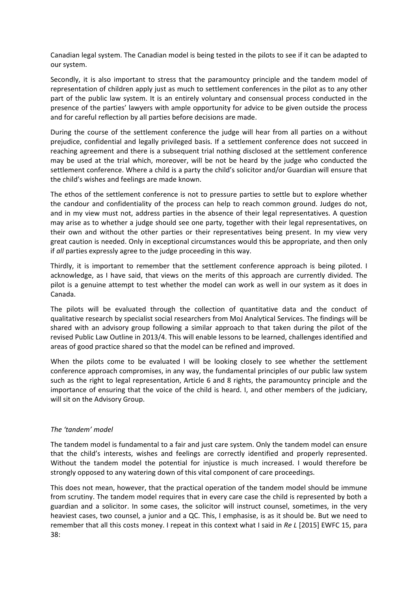Canadian legal system. The Canadian model is being tested in the pilots to see if it can be adapted to our system.

 Secondly, it is also important to stress that the paramountcy principle and the tandem model of representation of children apply just as much to settlement conferences in the pilot as to any other part of the public law system. It is an entirely voluntary and consensual process conducted in the presence of the parties' lawyers with ample opportunity for advice to be given outside the process and for careful reflection by all parties before decisions are made.

 During the course of the settlement conference the judge will hear from all parties on a without prejudice, confidential and legally privileged basis. If a settlement conference does not succeed in reaching agreement and there is a subsequent trial nothing disclosed at the settlement conference may be used at the trial which, moreover, will be not be heard by the judge who conducted the settlement conference. Where a child is a party the child's solicitor and/or Guardian will ensure that the child's wishes and feelings are made known.

 The ethos of the settlement conference is not to pressure parties to settle but to explore whether the candour and confidentiality of the process can help to reach common ground. Judges do not, and in my view must not, address parties in the absence of their legal representatives. A question may arise as to whether a judge should see one party, together with their legal representatives, on their own and without the other parties or their representatives being present. In my view very great caution is needed. Only in exceptional circumstances would this be appropriate, and then only if *all* parties expressly agree to the judge proceeding in this way.

 Thirdly, it is important to remember that the settlement conference approach is being piloted. I acknowledge, as I have said, that views on the merits of this approach are currently divided. The pilot is a genuine attempt to test whether the model can work as well in our system as it does in Canada.

 The pilots will be evaluated through the collection of quantitative data and the conduct of qualitative research by specialist social researchers from MoJ Analytical Services. The findings will be shared with an advisory group following a similar approach to that taken during the pilot of the revised Public Law Outline in 2013/4. This will enable lessons to be learned, challenges identified and areas of good practice shared so that the model can be refined and improved.

When the pilots come to be evaluated I will be looking closely to see whether the settlement conference approach compromises, in any way, the fundamental principles of our public law system such as the right to legal representation, Article 6 and 8 rights, the paramountcy principle and the importance of ensuring that the voice of the child is heard. I, and other members of the judiciary, will sit on the Advisory Group.

# *The 'tandem' model*

 The tandem model is fundamental to a fair and just care system. Only the tandem model can ensure that the child's interests, wishes and feelings are correctly identified and properly represented. Without the tandem model the potential for injustice is much increased. I would therefore be strongly opposed to any watering down of this vital component of care proceedings.

 This does not mean, however, that the practical operation of the tandem model should be immune from scrutiny. The tandem model requires that in every care case the child is represented by both a guardian and a solicitor. In some cases, the solicitor will instruct counsel, sometimes, in the very heaviest cases, two counsel, a junior and a QC. This, I emphasise, is as it should be. But we need to  remember that all this costs money. I repeat in this context what I said in *Re L* [2015] EWFC 15, para 38: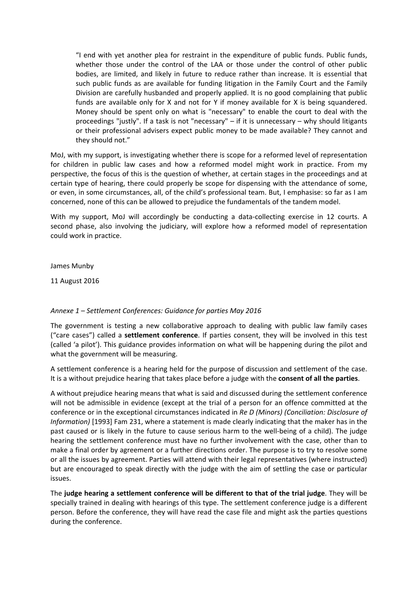"I end with yet another plea for restraint in the expenditure of public funds. Public funds, whether those under the control of the LAA or those under the control of other public bodies, are limited, and likely in future to reduce rather than increase. It is essential that such public funds as are available for funding litigation in the Family Court and the Family Division are carefully husbanded and properly applied. It is no good complaining that public funds are available only for X and not for Y if money available for X is being squandered. Money should be spent only on what is "necessary" to enable the court to deal with the proceedings "justly". If a task is not "necessary" – if it is unnecessary – why should litigants or their professional advisers expect public money to be made available? They cannot and they should not."

 MoJ, with my support, is investigating whether there is scope for a reformed level of representation for children in public law cases and how a reformed model might work in practice. From my perspective, the focus of this is the question of whether, at certain stages in the proceedings and at certain type of hearing, there could properly be scope for dispensing with the attendance of some, or even, in some circumstances, all, of the child's professional team. But, I emphasise: so far as I am concerned, none of this can be allowed to prejudice the fundamentals of the tandem model.

 With my support, MoJ will accordingly be conducting a data‐collecting exercise in 12 courts. A second phase, also involving the judiciary, will explore how a reformed model of representation could work in practice.

James Munby

11 August 2016

# *Annexe 1 – Settlement Conferences: Guidance for parties May 2016*

 The government is testing a new collaborative approach to dealing with public law family cases ("care cases") called a **settlement conference**. If parties consent, they will be involved in this test (called 'a pilot'). This guidance provides information on what will be happening during the pilot and what the government will be measuring.

 A settlement conference is a hearing held for the purpose of discussion and settlement of the case.  It is a without prejudice hearing that takes place before a judge with the **consent of all the parties**.

 A without prejudice hearing means that what is said and discussed during the settlement conference will not be admissible in evidence (except at the trial of a person for an offence committed at the  conference or in the exceptional circumstances indicated in *Re D (Minors) (Conciliation: Disclosure of Information)* [1993] Fam 231, where a statement is made clearly indicating that the maker has in the past caused or is likely in the future to cause serious harm to the well‐being of a child). The judge hearing the settlement conference must have no further involvement with the case, other than to make a final order by agreement or a further directions order. The purpose is to try to resolve some or all the issues by agreement. Parties will attend with their legal representatives (where instructed) but are encouraged to speak directly with the judge with the aim of settling the case or particular issues.

The judge hearing a settlement conference will be different to that of the trial judge. They will be specially trained in dealing with hearings of this type. The settlement conference judge is a different person. Before the conference, they will have read the case file and might ask the parties questions during the conference.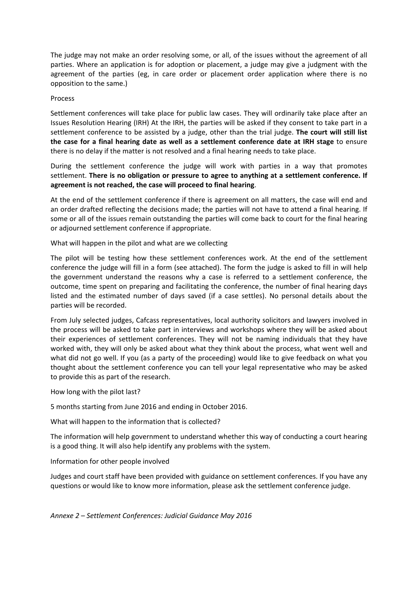The judge may not make an order resolving some, or all, of the issues without the agreement of all parties. Where an application is for adoption or placement, a judge may give a judgment with the agreement of the parties (eg, in care order or placement order application where there is no opposition to the same.)

### Process

 Settlement conferences will take place for public law cases. They will ordinarily take place after an Issues Resolution Hearing (IRH) At the IRH, the parties will be asked if they consent to take part in a  settlement conference to be assisted by a judge, other than the trial judge. **The court will still list** the case for a final hearing date as well as a settlement conference date at IRH stage to ensure there is no delay if the matter is not resolved and a final hearing needs to take place.

 During the settlement conference the judge will work with parties in a way that promotes settlement. There is no obligation or pressure to agree to anything at a settlement conference. If  **agreement is not reached, the case will proceed to final hearing**.

 At the end of the settlement conference if there is agreement on all matters, the case will end and an order drafted reflecting the decisions made; the parties will not have to attend a final hearing. If some or all of the issues remain outstanding the parties will come back to court for the final hearing or adjourned settlement conference if appropriate.

What will happen in the pilot and what are we collecting

 The pilot will be testing how these settlement conferences work. At the end of the settlement conference the judge will fill in a form (see attached). The form the judge is asked to fill in will help the government understand the reasons why a case is referred to a settlement conference, the outcome, time spent on preparing and facilitating the conference, the number of final hearing days listed and the estimated number of days saved (if a case settles). No personal details about the parties will be recorded.

 From July selected judges, Cafcass representatives, local authority solicitors and lawyers involved in the process will be asked to take part in interviews and workshops where they will be asked about their experiences of settlement conferences. They will not be naming individuals that they have worked with, they will only be asked about what they think about the process, what went well and what did not go well. If you (as a party of the proceeding) would like to give feedback on what you thought about the settlement conference you can tell your legal representative who may be asked to provide this as part of the research.

How long with the pilot last?

5 months starting from June 2016 and ending in October 2016.

What will happen to the information that is collected?

 The information will help government to understand whether this way of conducting a court hearing is a good thing. It will also help identify any problems with the system.

Information for other people involved

 Judges and court staff have been provided with guidance on settlement conferences. If you have any questions or would like to know more information, please ask the settlement conference judge.

 *Annexe 2 – Settlement Conferences: Judicial Guidance May 2016*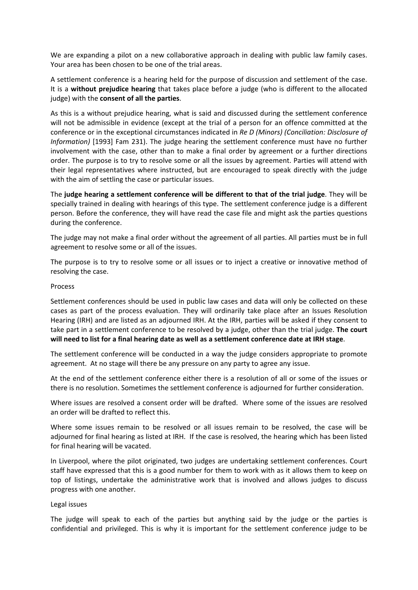We are expanding a pilot on a new collaborative approach in dealing with public law family cases. Your area has been chosen to be one of the trial areas.

 A settlement conference is a hearing held for the purpose of discussion and settlement of the case.  It is a **without prejudice hearing** that takes place before a judge (who is different to the allocated  judge) with the **consent of all the parties**.

 As this is a without prejudice hearing, what is said and discussed during the settlement conference will not be admissible in evidence (except at the trial of a person for an offence committed at the  conference or in the exceptional circumstances indicated in *Re D (Minors) (Conciliation: Disclosure of Information)* [1993] Fam 231). The judge hearing the settlement conference must have no further involvement with the case, other than to make a final order by agreement or a further directions order. The purpose is to try to resolve some or all the issues by agreement. Parties will attend with their legal representatives where instructed, but are encouraged to speak directly with the judge with the aim of settling the case or particular issues.

The judge hearing a settlement conference will be different to that of the trial judge. They will be specially trained in dealing with hearings of this type. The settlement conference judge is a different person. Before the conference, they will have read the case file and might ask the parties questions during the conference.

 The judge may not make a final order without the agreement of all parties. All parties must be in full agreement to resolve some or all of the issues.

 The purpose is to try to resolve some or all issues or to inject a creative or innovative method of resolving the case.

#### Process

 Settlement conferences should be used in public law cases and data will only be collected on these cases as part of the process evaluation. They will ordinarily take place after an Issues Resolution Hearing (IRH) and are listed as an adjourned IRH. At the IRH, parties will be asked if they consent to  take part in a settlement conference to be resolved by a judge, other than the trial judge. **The court** will need to list for a final hearing date as well as a settlement conference date at IRH stage.

 The settlement conference will be conducted in a way the judge considers appropriate to promote agreement. At no stage will there be any pressure on any party to agree any issue.

 At the end of the settlement conference either there is a resolution of all or some of the issues or there is no resolution. Sometimes the settlement conference is adjourned for further consideration.

 Where issues are resolved a consent order will be drafted. Where some of the issues are resolved an order will be drafted to reflect this.

 Where some issues remain to be resolved or all issues remain to be resolved, the case will be adjourned for final hearing as listed at IRH. If the case is resolved, the hearing which has been listed for final hearing will be vacated.

 In Liverpool, where the pilot originated, two judges are undertaking settlement conferences. Court staff have expressed that this is a good number for them to work with as it allows them to keep on top of listings, undertake the administrative work that is involved and allows judges to discuss progress with one another.

#### Legal issues

 The judge will speak to each of the parties but anything said by the judge or the parties is confidential and privileged. This is why it is important for the settlement conference judge to be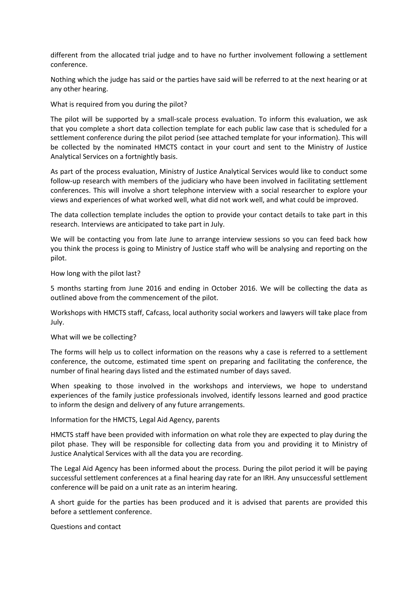different from the allocated trial judge and to have no further involvement following a settlement conference.

 Nothing which the judge has said or the parties have said will be referred to at the next hearing or at any other hearing.

What is required from you during the pilot?

 The pilot will be supported by a small‐scale process evaluation. To inform this evaluation, we ask that you complete a short data collection template for each public law case that is scheduled for a settlement conference during the pilot period (see attached template for your information). This will be collected by the nominated HMCTS contact in your court and sent to the Ministry of Justice Analytical Services on a fortnightly basis.

 As part of the process evaluation, Ministry of Justice Analytical Services would like to conduct some follow‐up research with members of the judiciary who have been involved in facilitating settlement conferences. This will involve a short telephone interview with a social researcher to explore your views and experiences of what worked well, what did not work well, and what could be improved.

 The data collection template includes the option to provide your contact details to take part in this research. Interviews are anticipated to take part in July.

 We will be contacting you from late June to arrange interview sessions so you can feed back how you think the process is going to Ministry of Justice staff who will be analysing and reporting on the pilot.

How long with the pilot last?

 5 months starting from June 2016 and ending in October 2016. We will be collecting the data as outlined above from the commencement of the pilot.

 Workshops with HMCTS staff, Cafcass, local authority social workers and lawyers will take place from July.

What will we be collecting?

 The forms will help us to collect information on the reasons why a case is referred to a settlement conference, the outcome, estimated time spent on preparing and facilitating the conference, the number of final hearing days listed and the estimated number of days saved.

 When speaking to those involved in the workshops and interviews, we hope to understand experiences of the family justice professionals involved, identify lessons learned and good practice to inform the design and delivery of any future arrangements.

Information for the HMCTS, Legal Aid Agency, parents

 HMCTS staff have been provided with information on what role they are expected to play during the pilot phase. They will be responsible for collecting data from you and providing it to Ministry of Justice Analytical Services with all the data you are recording.

 The Legal Aid Agency has been informed about the process. During the pilot period it will be paying successful settlement conferences at a final hearing day rate for an IRH. Any unsuccessful settlement conference will be paid on a unit rate as an interim hearing.

 A short guide for the parties has been produced and it is advised that parents are provided this before a settlement conference.

Questions and contact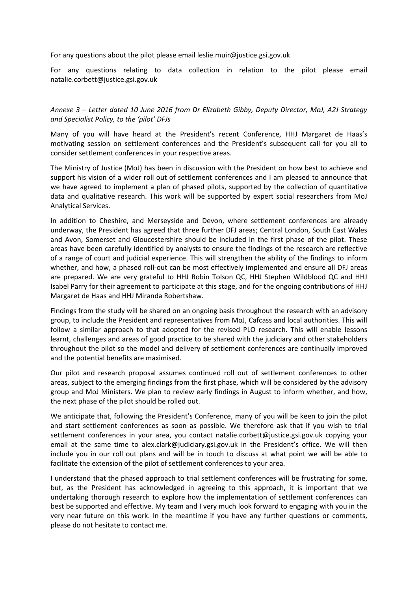For any questions about the pilot please email leslie.muir@justice.gsi.gov.uk

 For any questions relating to data collection in relation to the pilot please email natalie.corbett@justice.gsi.gov.uk

Annexe 3 – Letter dated 10 June 2016 from Dr Elizabeth Gibby, Deputy Director, MoJ, A2J Strategy  *and Specialist Policy, to the 'pilot' DFJs*

 Many of you will have heard at the President's recent Conference, HHJ Margaret de Haas's motivating session on settlement conferences and the President's subsequent call for you all to consider settlement conferences in your respective areas.

 The Ministry of Justice (MoJ) has been in discussion with the President on how best to achieve and support his vision of a wider roll out of settlement conferences and I am pleased to announce that we have agreed to implement a plan of phased pilots, supported by the collection of quantitative data and qualitative research. This work will be supported by expert social researchers from MoJ Analytical Services.

 In addition to Cheshire, and Merseyside and Devon, where settlement conferences are already underway, the President has agreed that three further DFJ areas; Central London, South East Wales and Avon, Somerset and Gloucestershire should be included in the first phase of the pilot. These areas have been carefully identified by analysts to ensure the findings of the research are reflective of a range of court and judicial experience. This will strengthen the ability of the findings to inform whether, and how, a phased roll‐out can be most effectively implemented and ensure all DFJ areas are prepared. We are very grateful to HHJ Robin Tolson QC, HHJ Stephen Wildblood QC and HHJ Isabel Parry for their agreement to participate at this stage, and for the ongoing contributions of HHJ Margaret de Haas and HHJ Miranda Robertshaw.

 Findings from the study will be shared on an ongoing basis throughout the research with an advisory group, to include the President and representatives from MoJ, Cafcass and local authorities. This will follow a similar approach to that adopted for the revised PLO research. This will enable lessons learnt, challenges and areas of good practice to be shared with the judiciary and other stakeholders throughout the pilot so the model and delivery of settlement conferences are continually improved and the potential benefits are maximised.

 Our pilot and research proposal assumes continued roll out of settlement conferences to other areas, subject to the emerging findings from the first phase, which will be considered by the advisory group and MoJ Ministers. We plan to review early findings in August to inform whether, and how, the next phase of the pilot should be rolled out.

 We anticipate that, following the President's Conference, many of you will be keen to join the pilot and start settlement conferences as soon as possible. We therefore ask that if you wish to trial settlement conferences in your area, you contact natalie.corbett@justice.gsi.gov.uk copying your email at the same time to alex.clark@judiciary.gsi.gov.uk in the President's office. We will then include you in our roll out plans and will be in touch to discuss at what point we will be able to facilitate the extension of the pilot of settlement conferences to your area.

 I understand that the phased approach to trial settlement conferences will be frustrating for some, but, as the President has acknowledged in agreeing to this approach, it is important that we undertaking thorough research to explore how the implementation of settlement conferences can best be supported and effective. My team and I very much look forward to engaging with you in the very near future on this work. In the meantime if you have any further questions or comments, please do not hesitate to contact me.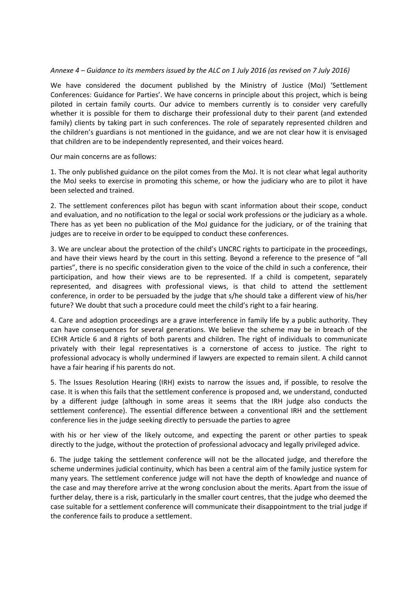### Annexe 4 – Guidance to its members issued by the ALC on 1 July 2016 (as revised on 7 July 2016)

 We have considered the document published by the Ministry of Justice (MoJ) 'Settlement Conferences: Guidance for Parties'. We have concerns in principle about this project, which is being piloted in certain family courts. Our advice to members currently is to consider very carefully whether it is possible for them to discharge their professional duty to their parent (and extended family) clients by taking part in such conferences. The role of separately represented children and the children's guardians is not mentioned in the guidance, and we are not clear how it is envisaged that children are to be independently represented, and their voices heard.

Our main concerns are as follows:

 1. The only published guidance on the pilot comes from the MoJ. It is not clear what legal authority the MoJ seeks to exercise in promoting this scheme, or how the judiciary who are to pilot it have been selected and trained.

 2. The settlement conferences pilot has begun with scant information about their scope, conduct and evaluation, and no notification to the legal or social work professions or the judiciary as a whole. There has as yet been no publication of the MoJ guidance for the judiciary, or of the training that judges are to receive in order to be equipped to conduct these conferences.

 3. We are unclear about the protection of the child's UNCRC rights to participate in the proceedings, and have their views heard by the court in this setting. Beyond a reference to the presence of "all parties", there is no specific consideration given to the voice of the child in such a conference, their participation, and how their views are to be represented. If a child is competent, separately represented, and disagrees with professional views, is that child to attend the settlement conference, in order to be persuaded by the judge that s/he should take a different view of his/her future? We doubt that such a procedure could meet the child's right to a fair hearing.

 4. Care and adoption proceedings are a grave interference in family life by a public authority. They can have consequences for several generations. We believe the scheme may be in breach of the ECHR Article 6 and 8 rights of both parents and children. The right of individuals to communicate privately with their legal representatives is a cornerstone of access to justice. The right to professional advocacy is wholly undermined if lawyers are expected to remain silent. A child cannot have a fair hearing if his parents do not.

 5. The Issues Resolution Hearing (IRH) exists to narrow the issues and, if possible, to resolve the case. It is when this fails that the settlement conference is proposed and, we understand, conducted by a different judge (although in some areas it seems that the IRH judge also conducts the settlement conference). The essential difference between a conventional IRH and the settlement conference lies in the judge seeking directly to persuade the parties to agree

 with his or her view of the likely outcome, and expecting the parent or other parties to speak directly to the judge, without the protection of professional advocacy and legally privileged advice.

 6. The judge taking the settlement conference will not be the allocated judge, and therefore the scheme undermines judicial continuity, which has been a central aim of the family justice system for many years. The settlement conference judge will not have the depth of knowledge and nuance of the case and may therefore arrive at the wrong conclusion about the merits. Apart from the issue of further delay, there is a risk, particularly in the smaller court centres, that the judge who deemed the case suitable for a settlement conference will communicate their disappointment to the trial judge if the conference fails to produce a settlement.